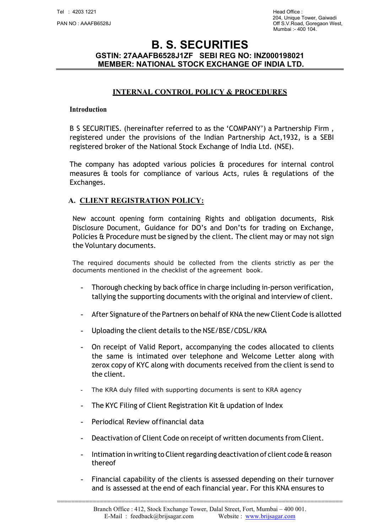### INTERNAL CONTROL POLICY & PROCEDURES

#### Introduction

B S SECURITIES. (hereinafter referred to as the 'COMPANY') a Partnership Firm , registered under the provisions of the Indian Partnership Act,1932, is a SEBI registered broker of the National Stock Exchange of India Ltd. (NSE).

The company has adopted various policies & procedures for internal control measures & tools for compliance of various Acts, rules & regulations of the Exchanges.

#### A. CLIENT REGISTRATION POLICY:

New account opening form containing Rights and obligation documents, Risk Disclosure Document, Guidance for DO's and Don'ts for trading on Exchange, Policies & Procedure must be signed by the client. The client may or may not sign the Voluntary documents.

The required documents should be collected from the clients strictly as per the documents mentioned in the checklist of the agreement book.

- Thorough checking by back office in charge including in‐person verification, tallying the supporting documents with the original and interview of client.
- After Signature of the Partners on behalf of KNA the new Client Code is allotted
- Uploading the client details to the NSE/BSE/CDSL/KRA
- On receipt of Valid Report, accompanying the codes allocated to clients the same is intimated over telephone and Welcome Letter along with zerox copy of KYC along with documents received from the client is send to the client.
- The KRA duly filled with supporting documents is sent to KRA agency
- The KYC Filing of Client Registration Kit & updation of Index
- Periodical Review of financial data
- Deactivation of Client Code on receipt of written documents from Client.
- Intimation in writing to Client regarding deactivation of client code & reason thereof
- Financial capability of the clients is assessed depending on their turnover and is assessed at the end of each financial year. For this KNA ensures to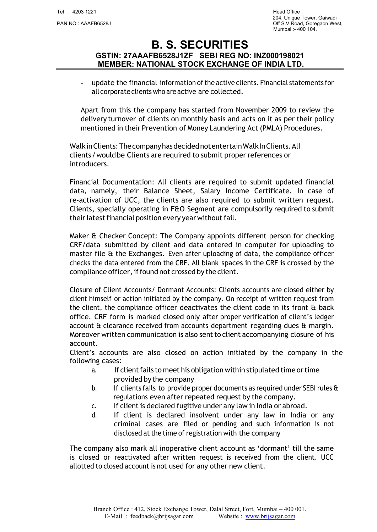204, Unique Tower, Gaiwadi يو 204, 2014 204, Unique Tower, Gaiwadi<br>Off S.V.Road. Goregaon We Off S.V.Road, Goregaon West, Mumbai :- 400 104.

# B. S. SECURITIES GSTIN: 27AAAFB6528J1ZF SEBI REG NO: INZ000198021 MEMBER: NATIONAL STOCK EXCHANGE OF INDIA LTD.

- update the financial information of the active clients. Financial statements for all corporate clients who are active are collected.

Apart from this the company has started from November 2009 to review the delivery turnover of clients on monthly basis and acts on it as per their policy mentioned in their Prevention of Money Laundering Act (PMLA) Procedures.

Walk in Clients: The company has decided not entertain Walk In Clients. All clients / would be Clients are required to submit proper references or introducers.

Financial Documentation: All clients are required to submit updated financial data, namely, their Balance Sheet, Salary Income Certificate. In case of re‐activation of UCC, the clients are also required to submit written request. Clients, specially operating in F&O Segment are compulsorily required to submit their latest financial position every year without fail.

Maker & Checker Concept: The Company appoints different person for checking CRF/data submitted by client and data entered in computer for uploading to master file & the Exchanges. Even after uploading of data, the compliance officer checks the data entered from the CRF. All blank spaces in the CRF is crossed by the compliance officer, if found not crossed by the client.

Closure of Client Accounts/ Dormant Accounts: Clients accounts are closed either by client himself or action initiated by the company. On receipt of written request from the client, the compliance officer deactivates the client code in its front & back office. CRF form is marked closed only after proper verification of client's ledger account & clearance received from accounts department regarding dues & margin. Moreover written communication is also sent to client accompanying closure of his account.

Client's accounts are also closed on action initiated by the company in the following cases:

- a. If client fails to meet his obligation within stipulated time or time provided by the company
- b. If clients fails to provide proper documents as required under SEBI rules & regulations even after repeated request by the company.
- c. If client is declared fugitive under any law in India or abroad.
- d. If client is declared insolvent under any law in India or any criminal cases are filed or pending and such information is not disclosed at the time of registration with the company

The company also mark all inoperative client account as 'dormant' till the same is closed or reactivated after written request is received from the client. UCC allotted to closed account is not used for any other new client.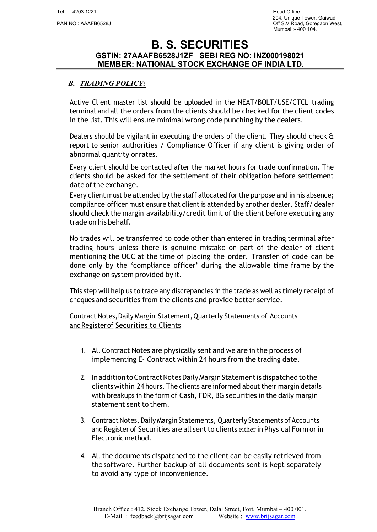## B. TRADING POLICY:

Active Client master list should be uploaded in the NEAT/BOLT/USE/CTCL trading terminal and all the orders from the clients should be checked for the client codes in the list. This will ensure minimal wrong code punching by the dealers.

Dealers should be vigilant in executing the orders of the client. They should check & report to senior authorities / Compliance Officer if any client is giving order of abnormal quantity or rates.

Every client should be contacted after the market hours for trade confirmation. The clients should be asked for the settlement of their obligation before settlement date of the exchange.

Every client must be attended by the staff allocated for the purpose and in his absence; compliance officer must ensure that client is attended by another dealer. Staff/ dealer should check the margin availability/credit limit of the client before executing any trade on his behalf.

No trades will be transferred to code other than entered in trading terminal after trading hours unless there is genuine mistake on part of the dealer of client mentioning the UCC at the time of placing the order. Transfer of code can be done only by the 'compliance officer' during the allowable time frame by the exchange on system provided by it.

This step will help us to trace any discrepancies in the trade as well as timely receipt of cheques and securities from the clients and provide better service.

Contract Notes, Daily Margin Statement, Quarterly Statements of Accounts and Register of Securities to Clients

- 1. All Contract Notes are physically sent and we are in the process of implementing E‐ Contract within 24 hours from the trading date.
- 2. In addition to Contract Notes Daily Margin Statement is dispatched to the clients within 24 hours. The clients are informed about their margin details with breakups in the form of Cash, FDR, BG securities in the daily margin statement sent to them.
- 3. Contract Notes, Daily Margin Statements, Quarterly Statements of Accounts and Register of Securities are all sent to clients either in Physical Form or in Electronic method.
- 4. All the documents dispatched to the client can be easily retrieved from the software. Further backup of all documents sent is kept separately to avoid any type of inconvenience.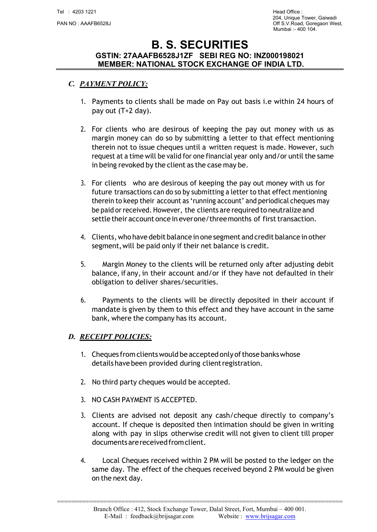### C. PAYMENT POLICY:

- 1. Payments to clients shall be made on Pay out basis i.e within 24 hours of pay out (T+2 day).
- 2. For clients who are desirous of keeping the pay out money with us as margin money can do so by submitting a letter to that effect mentioning therein not to issue cheques until a written request is made. However, such request at a time will be valid for one financial year only and/or until the same in being revoked by the client as the case may be.
- 3. For clients who are desirous of keeping the pay out money with us for future transactions can do so by submitting a letter to that effect mentioning therein to keep their account as 'running account' and periodical cheques may be paid or received. However, the clients are required to neutralize and settle their account once in ever one/three months of first transaction.
- 4. Clients, who have debit balance in one segment and credit balance in other segment, will be paid only if their net balance is credit.
- 5. Margin Money to the clients will be returned only after adjusting debit balance, if any, in their account and/or if they have not defaulted in their obligation to deliver shares/securities.
- 6. Payments to the clients will be directly deposited in their account if mandate is given by them to this effect and they have account in the same bank, where the company has its account.

#### D. RECEIPT POLICIES:

- 1. Cheques from clients would be accepted only of those banks whose details have been provided during client registration.
- 2. No third party cheques would be accepted.
- 3. NO CASH PAYMENT IS ACCEPTED.
- 3. Clients are advised not deposit any cash/cheque directly to company's account. If cheque is deposited then intimation should be given in writing along with pay in slips otherwise credit will not given to client till proper documents are received from client.
- 4. Local Cheques received within 2 PM will be posted to the ledger on the same day. The effect of the cheques received beyond 2 PM would be given on the next day.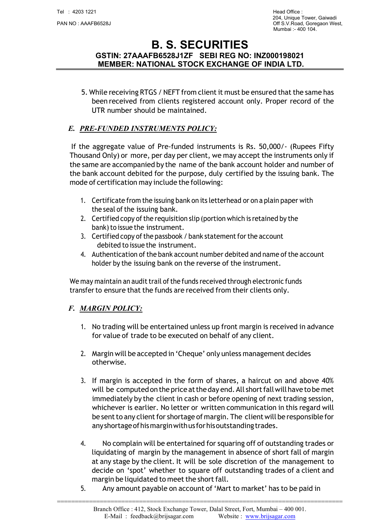5. While receiving RTGS / NEFT from client it must be ensured that the same has been received from clients registered account only. Proper record of the UTR number should be maintained.

### E. PRE‐FUNDED INSTRUMENTS POLICY:

If the aggregate value of Pre‐funded instruments is Rs. 50,000/‐ (Rupees Fifty Thousand Only) or more, per day per client, we may accept the instruments only if the same are accompanied by the name of the bank account holder and number of the bank account debited for the purpose, duly certified by the issuing bank. The mode of certification may include the following:

- 1. Certificate from the issuing bank on its letterhead or on a plain paper with the seal of the issuing bank.
- 2. Certified copy of the requisition slip (portion which is retained by the bank) to issue the instrument.
- 3. Certified copy of the passbook / bank statement for the account debited to issue the instrument.
- 4. Authentication of the bank account number debited and name of the account holder by the issuing bank on the reverse of the instrument.

We may maintain an audit trail of the funds received through electronic funds transfer to ensure that the funds are received from their clients only.

#### F. MARGIN POLICY:

- 1. No trading will be entertained unless up front margin is received in advance for value of trade to be executed on behalf of any client.
- 2. Margin will be accepted in 'Cheque' only unless management decides otherwise.
- 3. If margin is accepted in the form of shares, a haircut on and above 40% will be computed on the price at the day end. All short fall will have to be met immediately by the client in cash or before opening of next trading session, whichever is earlier. No letter or written communication in this regard will be sent to any client for shortage of margin. The client will be responsible for any shortage of his margin with us for his outstanding trades.
- 4. No complain will be entertained for squaring off of outstanding trades or liquidating of margin by the management in absence of short fall of margin at any stage by the client. It will be sole discretion of the management to decide on 'spot' whether to square off outstanding trades of a client and margin be liquidated to meet the short fall.
- 5. Any amount payable on account of 'Mart to market' has to be paid in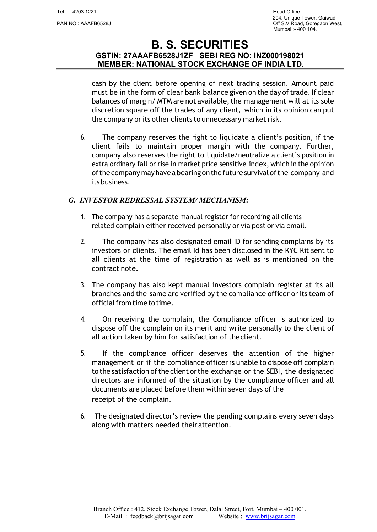204, Unique Tower, Gaiwadi يو 204, 2014 204, Unique Tower, Gaiwadi<br>Off S.V.Road. Goregaon We Off S.V.Road, Goregaon West, Mumbai :- 400 104.

# B. S. SECURITIES GSTIN: 27AAAFB6528J1ZF SEBI REG NO: INZ000198021 MEMBER: NATIONAL STOCK EXCHANGE OF INDIA LTD.

cash by the client before opening of next trading session. Amount paid must be in the form of clear bank balance given on the day of trade. If clear balances of margin/ MTM are not available, the management will at its sole discretion square off the trades of any client, which in its opinion can put the company or its other clients to unnecessary market risk.

6. The company reserves the right to liquidate a client's position, if the client fails to maintain proper margin with the company. Further, company also reserves the right to liquidate/neutralize a client's position in extra ordinary fall or rise in market price sensitive index, which in the opinion of the company may have a bearing on the future survival of the company and its business.

### G. INVESTOR REDRESSAL SYSTEM/ MECHANISM:

- 1. The company has a separate manual register for recording all clients related complain either received personally or via post or via email.
- 2. The company has also designated email ID for sending complains by its investors or clients. The email Id has been disclosed in the KYC Kit sent to all clients at the time of registration as well as is mentioned on the contract note.
- 3. The company has also kept manual investors complain register at its all branches and the same are verified by the compliance officer or its team of official from time to time.
- 4. On receiving the complain, the Compliance officer is authorized to dispose off the complain on its merit and write personally to the client of all action taken by him for satisfaction of the client.
- 5. If the compliance officer deserves the attention of the higher management or if the compliance officer is unable to dispose off complain to the satisfaction of the client or the exchange or the SEBI, the designated directors are informed of the situation by the compliance officer and all documents are placed before them within seven days of the receipt of the complain.
- 6. The designated director's review the pending complains every seven days along with matters needed their attention.